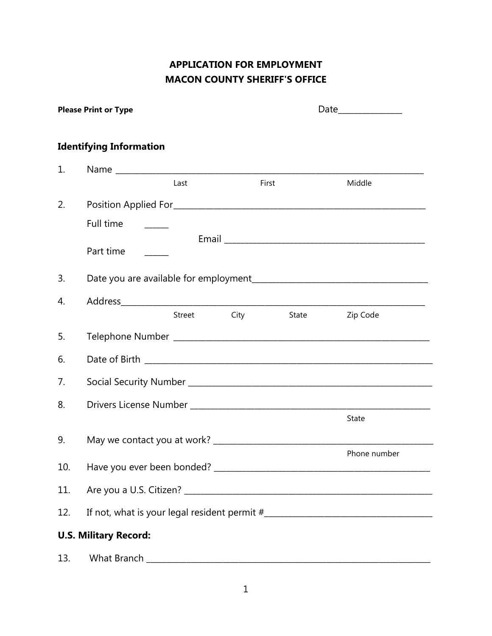## **APPLICATION FOR EMPLOYMENT MACON COUNTY SHERIFF'S OFFICE**

|     | <b>Please Print or Type</b>    |        |       |       | Date_____________ |
|-----|--------------------------------|--------|-------|-------|-------------------|
|     | <b>Identifying Information</b> |        |       |       |                   |
| 1.  |                                |        |       |       |                   |
|     |                                | Last   | First |       | Middle            |
| 2.  |                                |        |       |       |                   |
|     | Full time                      |        |       |       |                   |
|     | Part time                      |        |       |       |                   |
| 3.  |                                |        |       |       |                   |
| 4.  |                                |        |       |       |                   |
|     |                                | Street | City  | State | Zip Code          |
| 5.  |                                |        |       |       |                   |
| 6.  |                                |        |       |       |                   |
| 7.  |                                |        |       |       |                   |
| 8.  |                                |        |       |       |                   |
|     |                                |        |       |       | State             |
| 9.  |                                |        |       |       |                   |
| 10. |                                |        |       |       | Phone number      |
| 11. |                                |        |       |       |                   |
| 12. |                                |        |       |       |                   |
|     | <b>U.S. Military Record:</b>   |        |       |       |                   |
| 13. |                                |        |       |       |                   |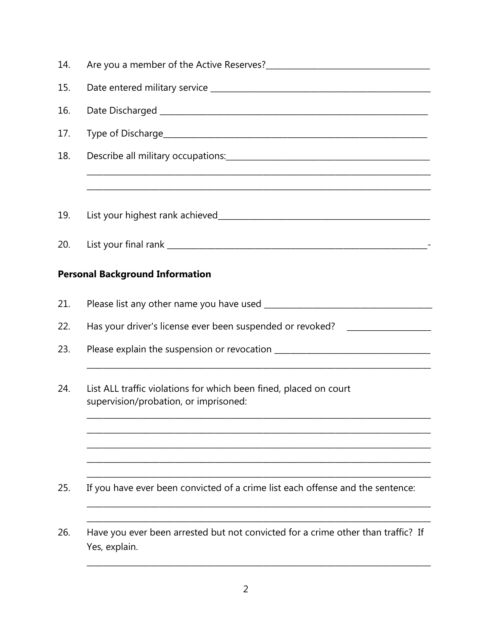| 14. |                                                                                                            |  |  |
|-----|------------------------------------------------------------------------------------------------------------|--|--|
| 15. |                                                                                                            |  |  |
| 16. |                                                                                                            |  |  |
| 17. |                                                                                                            |  |  |
| 18. |                                                                                                            |  |  |
|     |                                                                                                            |  |  |
| 19. |                                                                                                            |  |  |
| 20. |                                                                                                            |  |  |
|     | <b>Personal Background Information</b>                                                                     |  |  |
| 21. |                                                                                                            |  |  |
| 22. | Has your driver's license ever been suspended or revoked? ______________________                           |  |  |
| 23. |                                                                                                            |  |  |
| 24. | List ALL traffic violations for which been fined, placed on court<br>supervision/probation, or imprisoned: |  |  |
|     |                                                                                                            |  |  |
| 25. | If you have ever been convicted of a crime list each offense and the sentence:                             |  |  |
| 26. | Have you ever been arrested but not convicted for a crime other than traffic? If<br>Yes, explain.          |  |  |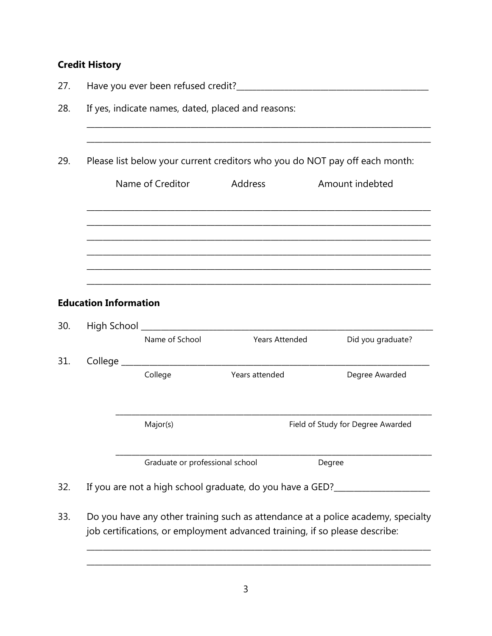## **Credit History**

| 27. |                                                                             |                |                                                             |                                   |  |  |
|-----|-----------------------------------------------------------------------------|----------------|-------------------------------------------------------------|-----------------------------------|--|--|
| 28. | If yes, indicate names, dated, placed and reasons:                          |                |                                                             |                                   |  |  |
|     |                                                                             |                |                                                             |                                   |  |  |
| 29. | Please list below your current creditors who you do NOT pay off each month: |                |                                                             |                                   |  |  |
|     | Name of Creditor                                                            |                | Address                                                     | Amount indebted                   |  |  |
|     |                                                                             |                |                                                             |                                   |  |  |
|     |                                                                             |                |                                                             |                                   |  |  |
|     |                                                                             |                |                                                             |                                   |  |  |
|     | <b>Education Information</b>                                                |                |                                                             |                                   |  |  |
| 30. |                                                                             |                |                                                             |                                   |  |  |
|     |                                                                             | Name of School | <b>Years Attended</b>                                       | Did you graduate?                 |  |  |
| 31. |                                                                             |                |                                                             |                                   |  |  |
|     |                                                                             | College        | Years attended                                              | Degree Awarded                    |  |  |
|     | Major(s)                                                                    |                |                                                             | Field of Study for Degree Awarded |  |  |
|     | Graduate or professional school                                             |                |                                                             | Degree                            |  |  |
| 32. |                                                                             |                | If you are not a high school graduate, do you have a GED?__ |                                   |  |  |

33. Do you have any other training such as attendance at a police academy, specialty job certifications, or employment advanced training, if so please describe: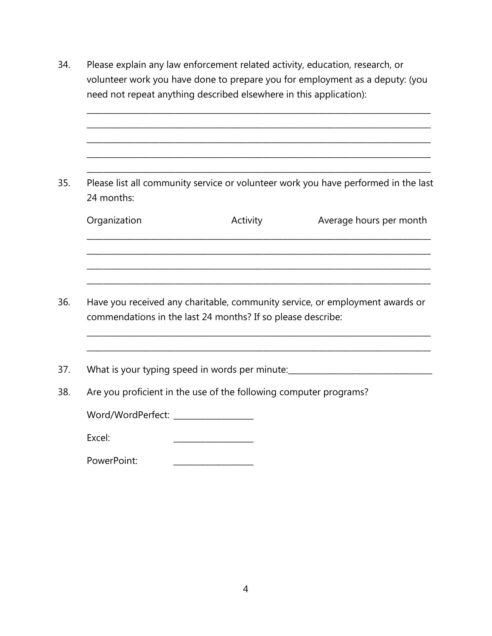34. Please explain any law enforcement related activity, education, research, or volunteer work you have done to prepare you for employment as a deputy: (you need not repeat anything described elsewhere in this application): \_\_\_\_\_\_\_\_\_\_\_\_\_\_\_\_\_\_\_\_\_\_\_\_\_\_\_\_\_\_\_\_\_\_\_\_\_\_\_\_\_\_\_\_\_\_\_\_\_\_\_\_\_\_\_\_\_\_\_\_\_\_\_\_\_\_\_\_\_\_\_\_\_\_\_\_\_\_\_\_\_\_\_\_\_\_ \_\_\_\_\_\_\_\_\_\_\_\_\_\_\_\_\_\_\_\_\_\_\_\_\_\_\_\_\_\_\_\_\_\_\_\_\_\_\_\_\_\_\_\_\_\_\_\_\_\_\_\_\_\_\_\_\_\_\_\_\_\_\_\_\_\_\_\_\_\_\_\_\_\_\_\_\_\_\_\_\_\_\_\_\_\_ \_\_\_\_\_\_\_\_\_\_\_\_\_\_\_\_\_\_\_\_\_\_\_\_\_\_\_\_\_\_\_\_\_\_\_\_\_\_\_\_\_\_\_\_\_\_\_\_\_\_\_\_\_\_\_\_\_\_\_\_\_\_\_\_\_\_\_\_\_\_\_\_\_\_\_\_\_\_\_\_\_\_\_\_\_\_ \_\_\_\_\_\_\_\_\_\_\_\_\_\_\_\_\_\_\_\_\_\_\_\_\_\_\_\_\_\_\_\_\_\_\_\_\_\_\_\_\_\_\_\_\_\_\_\_\_\_\_\_\_\_\_\_\_\_\_\_\_\_\_\_\_\_\_\_\_\_\_\_\_\_\_\_\_\_\_\_\_\_\_\_\_\_ \_\_\_\_\_\_\_\_\_\_\_\_\_\_\_\_\_\_\_\_\_\_\_\_\_\_\_\_\_\_\_\_\_\_\_\_\_\_\_\_\_\_\_\_\_\_\_\_\_\_\_\_\_\_\_\_\_\_\_\_\_\_\_\_\_\_\_\_\_\_\_\_\_\_\_\_\_\_\_\_\_\_\_\_\_\_ 35. Please list all community service or volunteer work you have performed in the last 24 months: Organization **Activity** Activity **Average hours per month** \_\_\_\_\_\_\_\_\_\_\_\_\_\_\_\_\_\_\_\_\_\_\_\_\_\_\_\_\_\_\_\_\_\_\_\_\_\_\_\_\_\_\_\_\_\_\_\_\_\_\_\_\_\_\_\_\_\_\_\_\_\_\_\_\_\_\_\_\_\_\_\_\_\_\_\_\_\_\_\_\_\_\_\_\_\_ \_\_\_\_\_\_\_\_\_\_\_\_\_\_\_\_\_\_\_\_\_\_\_\_\_\_\_\_\_\_\_\_\_\_\_\_\_\_\_\_\_\_\_\_\_\_\_\_\_\_\_\_\_\_\_\_\_\_\_\_\_\_\_\_\_\_\_\_\_\_\_\_\_\_\_\_\_\_\_\_\_\_\_\_\_\_ \_\_\_\_\_\_\_\_\_\_\_\_\_\_\_\_\_\_\_\_\_\_\_\_\_\_\_\_\_\_\_\_\_\_\_\_\_\_\_\_\_\_\_\_\_\_\_\_\_\_\_\_\_\_\_\_\_\_\_\_\_\_\_\_\_\_\_\_\_\_\_\_\_\_\_\_\_\_\_\_\_\_\_\_\_\_ \_\_\_\_\_\_\_\_\_\_\_\_\_\_\_\_\_\_\_\_\_\_\_\_\_\_\_\_\_\_\_\_\_\_\_\_\_\_\_\_\_\_\_\_\_\_\_\_\_\_\_\_\_\_\_\_\_\_\_\_\_\_\_\_\_\_\_\_\_\_\_\_\_\_\_\_\_\_\_\_\_\_\_\_\_\_ 36. Have you received any charitable, community service, or employment awards or commendations in the last 24 months? If so please describe: \_\_\_\_\_\_\_\_\_\_\_\_\_\_\_\_\_\_\_\_\_\_\_\_\_\_\_\_\_\_\_\_\_\_\_\_\_\_\_\_\_\_\_\_\_\_\_\_\_\_\_\_\_\_\_\_\_\_\_\_\_\_\_\_\_\_\_\_\_\_\_\_\_\_\_\_\_\_\_\_\_\_\_\_\_\_ \_\_\_\_\_\_\_\_\_\_\_\_\_\_\_\_\_\_\_\_\_\_\_\_\_\_\_\_\_\_\_\_\_\_\_\_\_\_\_\_\_\_\_\_\_\_\_\_\_\_\_\_\_\_\_\_\_\_\_\_\_\_\_\_\_\_\_\_\_\_\_\_\_\_\_\_\_\_\_\_\_\_\_\_\_\_ 37. What is your typing speed in words per minute:\_\_\_\_\_\_\_\_\_\_\_\_\_\_\_\_\_\_\_\_\_\_\_\_\_\_\_\_\_\_\_\_\_\_\_\_ 38. Are you proficient in the use of the following computer programs? Word/WordPerfect: \_\_\_\_\_\_\_\_\_\_\_\_\_\_\_\_\_\_\_\_ Excel: \_\_\_\_\_\_\_\_\_\_\_\_\_\_\_\_\_\_\_\_ PowerPoint: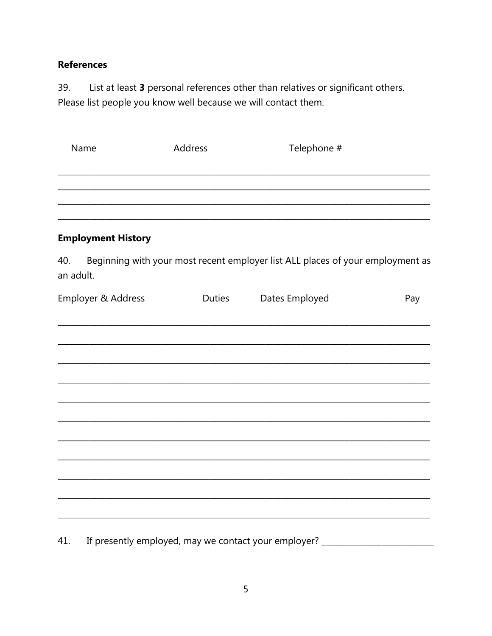## **References**

List at least 3 personal references other than relatives or significant others. 39. Please list people you know well because we will contact them.

| Name                      | Address |               | Telephone #                                                                    |     |  |
|---------------------------|---------|---------------|--------------------------------------------------------------------------------|-----|--|
|                           |         |               |                                                                                |     |  |
| <b>Employment History</b> |         |               |                                                                                |     |  |
| 40.<br>an adult.          |         |               | Beginning with your most recent employer list ALL places of your employment as |     |  |
| Employer & Address        |         | <b>Duties</b> | Dates Employed                                                                 | Pay |  |
|                           |         |               |                                                                                |     |  |
|                           |         |               |                                                                                |     |  |
|                           |         |               |                                                                                |     |  |
|                           |         |               |                                                                                |     |  |
|                           |         |               |                                                                                |     |  |
|                           |         |               |                                                                                |     |  |

If presently employed, may we contact your employer? \_\_\_\_\_\_\_\_\_\_\_\_\_\_\_\_\_\_\_\_\_\_\_\_\_\_\_ 41.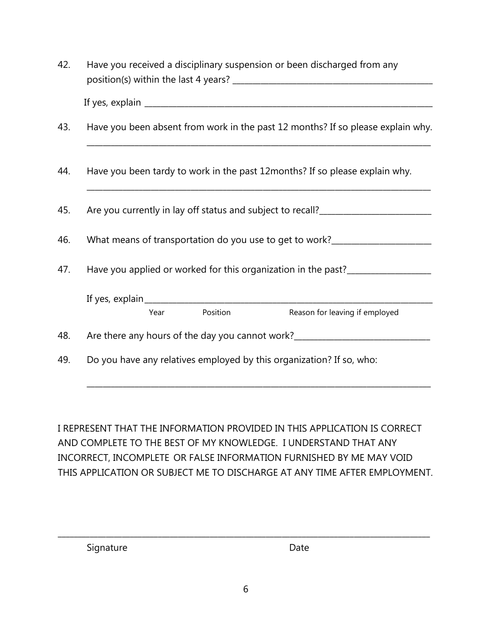| 42. | Have you received a disciplinary suspension or been discharged from any           |  |  |
|-----|-----------------------------------------------------------------------------------|--|--|
|     |                                                                                   |  |  |
| 43. | Have you been absent from work in the past 12 months? If so please explain why.   |  |  |
| 44. | Have you been tardy to work in the past 12 months? If so please explain why.      |  |  |
| 45. | Are you currently in lay off status and subject to recall?                        |  |  |
| 46. |                                                                                   |  |  |
| 47. | Have you applied or worked for this organization in the past?___________________  |  |  |
|     | Position<br>Year<br>Reason for leaving if employed                                |  |  |
| 48. | Are there any hours of the day you cannot work?__________________________________ |  |  |
| 49. | Do you have any relatives employed by this organization? If so, who:              |  |  |

I REPRESENT THAT THE INFORMATION PROVIDED IN THIS APPLICATION IS CORRECT AND COMPLETE TO THE BEST OF MY KNOWLEDGE. I UNDERSTAND THAT ANY INCORRECT, INCOMPLETE OR FALSE INFORMATION FURNISHED BY ME MAY VOID THIS APPLICATION OR SUBJECT ME TO DISCHARGE AT ANY TIME AFTER EMPLOYMENT.

\_\_\_\_\_\_\_\_\_\_\_\_\_\_\_\_\_\_\_\_\_\_\_\_\_\_\_\_\_\_\_\_\_\_\_\_\_\_\_\_\_\_\_\_\_\_\_\_\_\_\_\_\_\_\_\_\_\_\_\_\_\_\_\_\_\_\_\_\_\_\_\_\_\_\_\_\_\_\_\_\_\_\_\_\_\_

Signature Date

\_\_\_\_\_\_\_\_\_\_\_\_\_\_\_\_\_\_\_\_\_\_\_\_\_\_\_\_\_\_\_\_\_\_\_\_\_\_\_\_\_\_\_\_\_\_\_\_\_\_\_\_\_\_\_\_\_\_\_\_\_\_\_\_\_\_\_\_\_\_\_\_\_\_\_\_\_\_\_\_\_\_\_\_\_\_\_\_\_\_\_\_\_